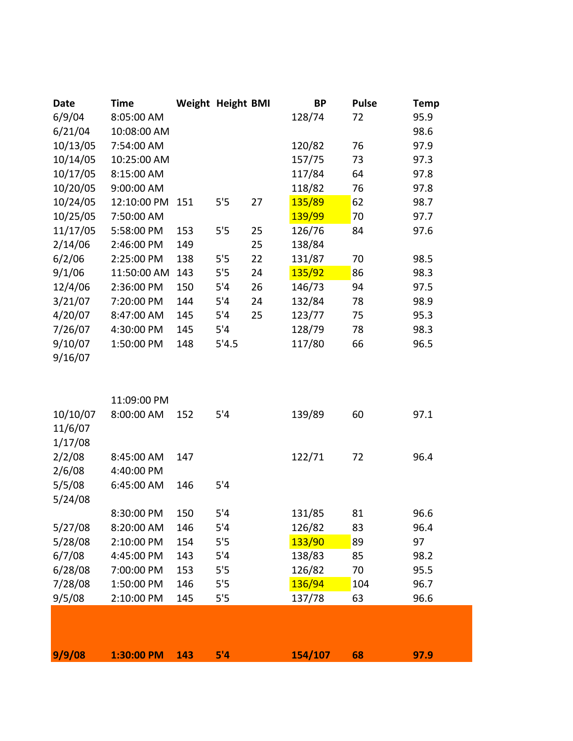| 6/9/04<br>8:05:00 AM<br>128/74<br>72<br>6/21/04<br>10:08:00 AM<br>10/13/05<br>7:54:00 AM<br>120/82<br>76<br>10/14/05<br>157/75<br>10:25:00 AM<br>73<br>10/17/05<br>117/84<br>64<br>8:15:00 AM<br>10/20/05<br>118/82<br>9:00:00 AM<br>76<br>10/24/05<br>135/89<br>62<br>12:10:00 PM<br>27<br>5'5<br>151<br>10/25/05<br>139/99<br>7:50:00 AM<br>70<br>11/17/05<br>126/76<br>5:58:00 PM<br>5'5<br>25<br>153<br>84 | 95.9<br>98.6<br>97.9<br>97.3<br>97.8<br>97.8<br>98.7<br>97.7<br>97.6<br>98.5<br>98.3<br>97.5<br>98.9<br>95.3 |
|----------------------------------------------------------------------------------------------------------------------------------------------------------------------------------------------------------------------------------------------------------------------------------------------------------------------------------------------------------------------------------------------------------------|--------------------------------------------------------------------------------------------------------------|
|                                                                                                                                                                                                                                                                                                                                                                                                                |                                                                                                              |
|                                                                                                                                                                                                                                                                                                                                                                                                                |                                                                                                              |
|                                                                                                                                                                                                                                                                                                                                                                                                                |                                                                                                              |
|                                                                                                                                                                                                                                                                                                                                                                                                                |                                                                                                              |
|                                                                                                                                                                                                                                                                                                                                                                                                                |                                                                                                              |
|                                                                                                                                                                                                                                                                                                                                                                                                                |                                                                                                              |
|                                                                                                                                                                                                                                                                                                                                                                                                                |                                                                                                              |
|                                                                                                                                                                                                                                                                                                                                                                                                                |                                                                                                              |
|                                                                                                                                                                                                                                                                                                                                                                                                                |                                                                                                              |
| 2/14/06<br>138/84<br>2:46:00 PM<br>149<br>25                                                                                                                                                                                                                                                                                                                                                                   |                                                                                                              |
| 6/2/06<br>131/87<br>2:25:00 PM<br>138<br>5'5<br>22<br>70                                                                                                                                                                                                                                                                                                                                                       |                                                                                                              |
| 9/1/06<br>135/92<br>86<br>11:50:00 AM<br>143<br>5'5<br>24                                                                                                                                                                                                                                                                                                                                                      |                                                                                                              |
| 12/4/06<br>26<br>146/73<br>2:36:00 PM<br>150<br>5'4<br>94                                                                                                                                                                                                                                                                                                                                                      |                                                                                                              |
| 3/21/07<br>132/84<br>7:20:00 PM<br>144<br>5'4<br>24<br>78                                                                                                                                                                                                                                                                                                                                                      |                                                                                                              |
| 4/20/07<br>8:47:00 AM<br>5'4<br>25<br>123/77<br>145<br>75                                                                                                                                                                                                                                                                                                                                                      |                                                                                                              |
| 7/26/07<br>128/79<br>4:30:00 PM<br>145<br>5'4<br>78                                                                                                                                                                                                                                                                                                                                                            | 98.3                                                                                                         |
| 9/10/07<br>117/80<br>1:50:00 PM<br>148<br>5'4.5<br>66                                                                                                                                                                                                                                                                                                                                                          | 96.5                                                                                                         |
| 9/16/07                                                                                                                                                                                                                                                                                                                                                                                                        |                                                                                                              |
|                                                                                                                                                                                                                                                                                                                                                                                                                |                                                                                                              |
|                                                                                                                                                                                                                                                                                                                                                                                                                |                                                                                                              |
| 11:09:00 PM                                                                                                                                                                                                                                                                                                                                                                                                    |                                                                                                              |
| 8:00:00 AM<br>139/89<br>10/10/07<br>5'4<br>60<br>152                                                                                                                                                                                                                                                                                                                                                           | 97.1                                                                                                         |
| 11/6/07                                                                                                                                                                                                                                                                                                                                                                                                        |                                                                                                              |
| 1/17/08                                                                                                                                                                                                                                                                                                                                                                                                        |                                                                                                              |
| 2/2/08<br>122/71<br>8:45:00 AM<br>147<br>72                                                                                                                                                                                                                                                                                                                                                                    | 96.4                                                                                                         |
| 2/6/08<br>4:40:00 PM                                                                                                                                                                                                                                                                                                                                                                                           |                                                                                                              |
| 5/5/08<br>5'4<br>6:45:00 AM<br>146                                                                                                                                                                                                                                                                                                                                                                             |                                                                                                              |
| 5/24/08                                                                                                                                                                                                                                                                                                                                                                                                        |                                                                                                              |
| 5'4<br>131/85<br>8:30:00 PM<br>150<br>81                                                                                                                                                                                                                                                                                                                                                                       | 96.6                                                                                                         |
| 126/82<br>5/27/08<br>8:20:00 AM<br>146<br>5'4<br>83                                                                                                                                                                                                                                                                                                                                                            | 96.4                                                                                                         |
| 133/90<br>5/28/08<br>2:10:00 PM<br>5'5<br>89<br>97<br>154                                                                                                                                                                                                                                                                                                                                                      |                                                                                                              |
| 6/7/08<br>138/83<br>4:45:00 PM<br>143<br>5'4<br>85                                                                                                                                                                                                                                                                                                                                                             | 98.2                                                                                                         |
| 6/28/08<br>126/82<br>5'5<br>70<br>7:00:00 PM<br>153                                                                                                                                                                                                                                                                                                                                                            | 95.5                                                                                                         |
| 136/94<br>7/28/08<br>146<br>1:50:00 PM<br>5'5<br>104                                                                                                                                                                                                                                                                                                                                                           | 96.7                                                                                                         |
| 9/5/08<br>5'5<br>137/78<br>2:10:00 PM<br>145<br>63                                                                                                                                                                                                                                                                                                                                                             | 96.6                                                                                                         |
|                                                                                                                                                                                                                                                                                                                                                                                                                |                                                                                                              |
|                                                                                                                                                                                                                                                                                                                                                                                                                |                                                                                                              |
| 9/9/08<br>5'4<br>154/107<br>1:30:00 PM<br>143<br>68<br>97.9                                                                                                                                                                                                                                                                                                                                                    |                                                                                                              |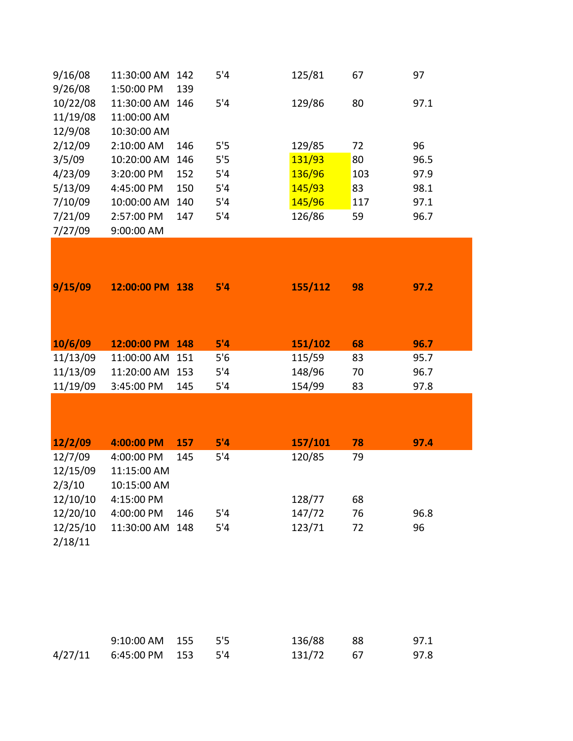| 9/16/08  | 11:30:00 AM     | 142 | 5'4 | 125/81  | 67  | 97   |
|----------|-----------------|-----|-----|---------|-----|------|
| 9/26/08  | 1:50:00 PM      | 139 |     |         |     |      |
| 10/22/08 | 11:30:00 AM 146 |     | 5'4 | 129/86  | 80  | 97.1 |
| 11/19/08 | 11:00:00 AM     |     |     |         |     |      |
| 12/9/08  | 10:30:00 AM     |     |     |         |     |      |
| 2/12/09  | 2:10:00 AM      | 146 | 5'5 | 129/85  | 72  | 96   |
| 3/5/09   | 10:20:00 AM     | 146 | 5'5 | 131/93  | 80  | 96.5 |
| 4/23/09  | 3:20:00 PM      | 152 | 5'4 | 136/96  | 103 | 97.9 |
| 5/13/09  | 4:45:00 PM      | 150 | 5'4 | 145/93  | 83  | 98.1 |
| 7/10/09  | 10:00:00 AM     | 140 | 5'4 | 145/96  | 117 | 97.1 |
| 7/21/09  | 2:57:00 PM      | 147 | 5'4 | 126/86  | 59  | 96.7 |
| 7/27/09  | 9:00:00 AM      |     |     |         |     |      |
| 9/15/09  | 12:00:00 PM 138 |     | 5'4 | 155/112 | 98  | 97.2 |
| 10/6/09  | 12:00:00 PM 148 |     | 5'4 | 151/102 | 68  | 96.7 |
| 11/13/09 | 11:00:00 AM 151 |     | 5'6 | 115/59  | 83  | 95.7 |
| 11/13/09 | 11:20:00 AM 153 |     | 5'4 | 148/96  | 70  | 96.7 |
| 11/19/09 | 3:45:00 PM      | 145 | 5'4 | 154/99  | 83  | 97.8 |
|          |                 |     |     |         |     |      |
| 12/2/09  | 4:00:00 PM      | 157 | 5'4 | 157/101 | 78  | 97.4 |
| 12/7/09  | 4:00:00 PM      | 145 | 5'4 | 120/85  | 79  |      |
| 12/15/09 | 11:15:00 AM     |     |     |         |     |      |
| 2/3/10   | 10:15:00 AM     |     |     |         |     |      |
| 12/10/10 | 4:15:00 PM      |     |     | 128/77  | 68  |      |
| 12/20/10 | 4:00:00 PM      | 146 | 5'4 | 147/72  | 76  | 96.8 |
| 12/25/10 | 11:30:00 AM     | 148 | 5'4 | 123/71  | 72  | 96   |
| 2/18/11  |                 |     |     |         |     |      |

| 9:10:00 AM 155 5'5         |  | 136/88 88 | 97.1 |
|----------------------------|--|-----------|------|
| 4/27/11 6:45:00 PM 153 5'4 |  | 131/72 67 | 97.8 |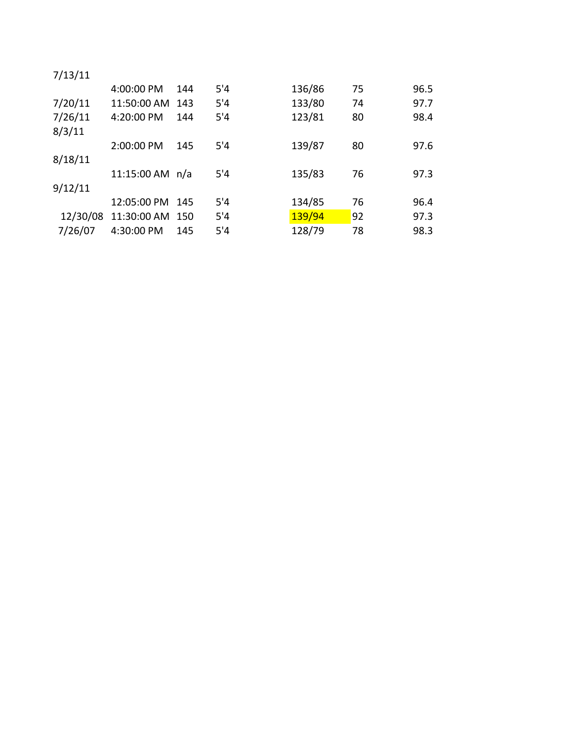| 7/13/11  |                   |       |     |        |    |      |
|----------|-------------------|-------|-----|--------|----|------|
|          | 4:00:00 PM        | 144   | 5'4 | 136/86 | 75 | 96.5 |
| 7/20/11  | 11:50:00 AM       | 143   | 5'4 | 133/80 | 74 | 97.7 |
| 7/26/11  | 4:20:00 PM        | 144   | 5'4 | 123/81 | 80 | 98.4 |
| 8/3/11   |                   |       |     |        |    |      |
|          | 2:00:00 PM        | 145   | 5'4 | 139/87 | 80 | 97.6 |
| 8/18/11  |                   |       |     |        |    |      |
|          | 11:15:00 AM $n/a$ |       | 5'4 | 135/83 | 76 | 97.3 |
| 9/12/11  |                   |       |     |        |    |      |
|          | 12:05:00 PM       | -145  | 5'4 | 134/85 | 76 | 96.4 |
| 12/30/08 | 11:30:00 AM       | - 150 | 5'4 | 139/94 | 92 | 97.3 |
| 7/26/07  | 4:30:00 PM        | 145   | 5'4 | 128/79 | 78 | 98.3 |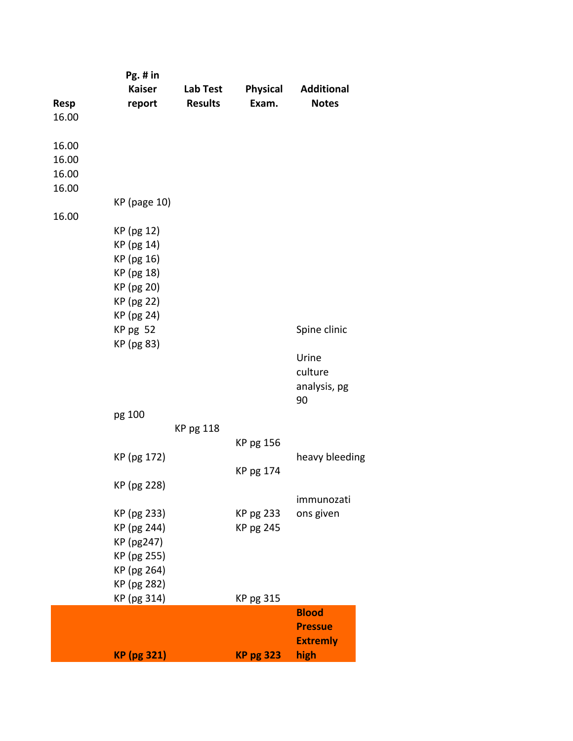|             | Pg. # in                   |                  |                  |                   |
|-------------|----------------------------|------------------|------------------|-------------------|
|             | <b>Kaiser</b>              | Lab Test         | Physical         | <b>Additional</b> |
| <b>Resp</b> | report                     | <b>Results</b>   | Exam.            | <b>Notes</b>      |
| 16.00       |                            |                  |                  |                   |
| 16.00       |                            |                  |                  |                   |
| 16.00       |                            |                  |                  |                   |
| 16.00       |                            |                  |                  |                   |
| 16.00       |                            |                  |                  |                   |
|             | <b>KP</b> (page 10)        |                  |                  |                   |
| 16.00       |                            |                  |                  |                   |
|             | KP (pg 12)                 |                  |                  |                   |
|             | KP (pg 14)                 |                  |                  |                   |
|             | KP (pg 16)                 |                  |                  |                   |
|             | KP (pg 18)                 |                  |                  |                   |
|             | KP (pg 20)                 |                  |                  |                   |
|             | KP (pg 22)                 |                  |                  |                   |
|             | KP (pg 24)                 |                  |                  |                   |
|             | KP pg 52                   |                  |                  | Spine clinic      |
|             | KP (pg 83)                 |                  |                  |                   |
|             |                            |                  |                  | Urine             |
|             |                            |                  |                  | culture           |
|             |                            |                  |                  | analysis, pg      |
|             |                            |                  |                  | 90                |
|             | pg 100                     |                  |                  |                   |
|             |                            | <b>KP pg 118</b> |                  |                   |
|             |                            |                  | KP pg 156        |                   |
|             | KP (pg 172)                |                  |                  | heavy bleeding    |
|             |                            |                  | KP pg 174        |                   |
|             | KP (pg 228)                |                  |                  |                   |
|             |                            |                  |                  | immunozati        |
|             | KP (pg 233)                |                  | KP pg 233        | ons given         |
|             | KP (pg 244)                |                  | KP pg 245        |                   |
|             | KP (pg247)                 |                  |                  |                   |
|             | KP (pg 255)                |                  |                  |                   |
|             | KP (pg 264)                |                  |                  |                   |
|             | KP (pg 282)<br>KP (pg 314) |                  | KP pg 315        |                   |
|             |                            |                  |                  | <b>Blood</b>      |
|             |                            |                  |                  | <b>Pressue</b>    |
|             |                            |                  |                  | <b>Extremly</b>   |
|             | <b>KP</b> (pg 321)         |                  | <b>KP pg 323</b> | high              |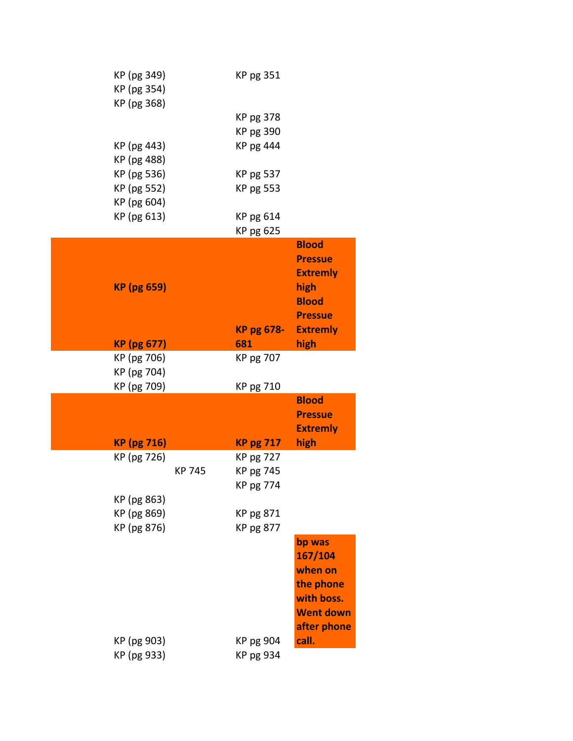| KP (pg 349)        |        | KP pg 351         |                  |
|--------------------|--------|-------------------|------------------|
| KP (pg 354)        |        |                   |                  |
| KP (pg 368)        |        |                   |                  |
|                    |        | KP pg 378         |                  |
|                    |        | KP pg 390         |                  |
| KP (pg 443)        |        | KP pg 444         |                  |
| KP (pg 488)        |        |                   |                  |
| KP (pg 536)        |        | KP pg 537         |                  |
| KP (pg 552)        |        | KP pg 553         |                  |
| KP (pg 604)        |        |                   |                  |
| KP (pg 613)        |        | KP pg 614         |                  |
|                    |        | KP pg 625         |                  |
|                    |        |                   | <b>Blood</b>     |
|                    |        |                   | <b>Pressue</b>   |
|                    |        |                   | <b>Extremly</b>  |
| <b>KP</b> (pg 659) |        |                   | high             |
|                    |        |                   | <b>Blood</b>     |
|                    |        |                   | <b>Pressue</b>   |
|                    |        | <b>KP pg 678-</b> | <b>Extremly</b>  |
| <b>KP</b> (pg 677) |        | 681               | high             |
| KP (pg 706)        |        | KP pg 707         |                  |
| KP (pg 704)        |        |                   |                  |
| KP (pg 709)        |        | KP pg 710         |                  |
|                    |        |                   | <b>Blood</b>     |
|                    |        |                   | <b>Pressue</b>   |
|                    |        |                   | <b>Extremly</b>  |
| <b>KP</b> (pg 716) |        | <b>KP pg 717</b>  | high             |
| KP (pg 726)        |        | KP pg 727         |                  |
|                    | KP 745 | KP pg 745         |                  |
|                    |        | KP pg 774         |                  |
| KP (pg 863)        |        |                   |                  |
| KP (pg 869)        |        | KP pg 871         |                  |
| KP (pg 876)        |        | KP pg 877         |                  |
|                    |        |                   | bp was           |
|                    |        |                   | 167/104          |
|                    |        |                   | when on          |
|                    |        |                   | the phone        |
|                    |        |                   | with boss.       |
|                    |        |                   | <b>Went down</b> |
|                    |        |                   | after phone      |
| KP (pg 903)        |        | KP pg 904         | call.            |
| KP (pg 933)        |        | KP pg 934         |                  |